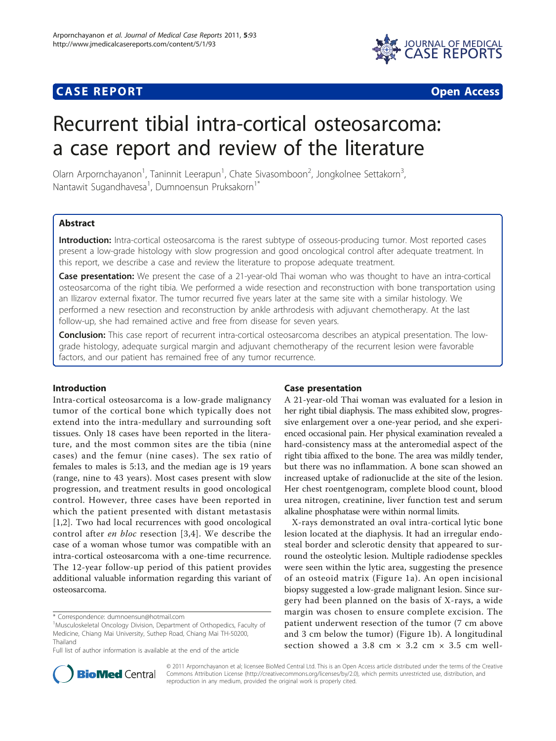

# **CASE REPORT CASE REPORT CASE REPORT**

# Recurrent tibial intra-cortical osteosarcoma: a case report and review of the literature

Olarn Arpornchayanon<sup>1</sup>, Taninnit Leerapun<sup>1</sup>, Chate Sivasomboon<sup>2</sup>, Jongkolnee Settakorn<sup>3</sup> , Nantawit Sugandhavesa<sup>1</sup>, Dumnoensun Pruksakorn<sup>1\*</sup>

# Abstract

Introduction: Intra-cortical osteosarcoma is the rarest subtype of osseous-producing tumor. Most reported cases present a low-grade histology with slow progression and good oncological control after adequate treatment. In this report, we describe a case and review the literature to propose adequate treatment.

**Case presentation:** We present the case of a 21-year-old Thai woman who was thought to have an intra-cortical osteosarcoma of the right tibia. We performed a wide resection and reconstruction with bone transportation using an Ilizarov external fixator. The tumor recurred five years later at the same site with a similar histology. We performed a new resection and reconstruction by ankle arthrodesis with adjuvant chemotherapy. At the last follow-up, she had remained active and free from disease for seven years.

**Conclusion:** This case report of recurrent intra-cortical osteosarcoma describes an atypical presentation. The lowgrade histology, adequate surgical margin and adjuvant chemotherapy of the recurrent lesion were favorable factors, and our patient has remained free of any tumor recurrence.

# Introduction

Intra-cortical osteosarcoma is a low-grade malignancy tumor of the cortical bone which typically does not extend into the intra-medullary and surrounding soft tissues. Only 18 cases have been reported in the literature, and the most common sites are the tibia (nine cases) and the femur (nine cases). The sex ratio of females to males is 5:13, and the median age is 19 years (range, nine to 43 years). Most cases present with slow progression, and treatment results in good oncological control. However, three cases have been reported in which the patient presented with distant metastasis [[1,2](#page-3-0)]. Two had local recurrences with good oncological control after en bloc resection [[3,4\]](#page-3-0). We describe the case of a woman whose tumor was compatible with an intra-cortical osteosarcoma with a one-time recurrence. The 12-year follow-up period of this patient provides additional valuable information regarding this variant of osteosarcoma.

# Case presentation

A 21-year-old Thai woman was evaluated for a lesion in her right tibial diaphysis. The mass exhibited slow, progressive enlargement over a one-year period, and she experienced occasional pain. Her physical examination revealed a hard-consistency mass at the anteromedial aspect of the right tibia affixed to the bone. The area was mildly tender, but there was no inflammation. A bone scan showed an increased uptake of radionuclide at the site of the lesion. Her chest roentgenogram, complete blood count, blood urea nitrogen, creatinine, liver function test and serum alkaline phosphatase were within normal limits.

X-rays demonstrated an oval intra-cortical lytic bone lesion located at the diaphysis. It had an irregular endosteal border and sclerotic density that appeared to surround the osteolytic lesion. Multiple radiodense speckles were seen within the lytic area, suggesting the presence of an osteoid matrix (Figure [1a\)](#page-1-0). An open incisional biopsy suggested a low-grade malignant lesion. Since surgery had been planned on the basis of X-rays, a wide margin was chosen to ensure complete excision. The patient underwent resection of the tumor (7 cm above and 3 cm below the tumor) (Figure [1b\)](#page-1-0). A longitudinal section showed a 3.8 cm  $\times$  3.2 cm  $\times$  3.5 cm well-



© 2011 Arpornchayanon et al; licensee BioMed Central Ltd. This is an Open Access article distributed under the terms of the Creative Commons Attribution License [\(http://creativecommons.org/licenses/by/2.0](http://creativecommons.org/licenses/by/2.0)), which permits unrestricted use, distribution, and reproduction in any medium, provided the original work is properly cited.

<sup>\*</sup> Correspondence: [dumnoensun@hotmail.com](mailto:dumnoensun@hotmail.com)

<sup>&</sup>lt;sup>1</sup>Musculoskeletal Oncology Division, Department of Orthopedics, Faculty of Medicine, Chiang Mai University, Suthep Road, Chiang Mai TH-50200, Thailand

Full list of author information is available at the end of the article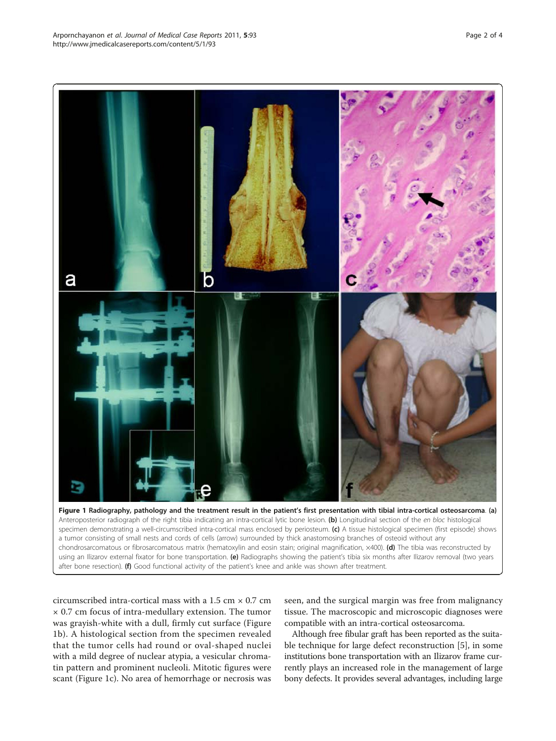<span id="page-1-0"></span>

using an Ilizarov external fixator for bone transportation. (e) Radiographs showing the patient's tibia six months after Ilizarov removal (two years after bone resection). (f) Good functional activity of the patient's knee and ankle was shown after treatment.

circumscribed intra-cortical mass with a 1.5 cm  $\times$  0.7 cm × 0.7 cm focus of intra-medullary extension. The tumor was grayish-white with a dull, firmly cut surface (Figure 1b). A histological section from the specimen revealed that the tumor cells had round or oval-shaped nuclei with a mild degree of nuclear atypia, a vesicular chromatin pattern and prominent nucleoli. Mitotic figures were scant (Figure 1c). No area of hemorrhage or necrosis was

seen, and the surgical margin was free from malignancy tissue. The macroscopic and microscopic diagnoses were compatible with an intra-cortical osteosarcoma.

Although free fibular graft has been reported as the suitable technique for large defect reconstruction [\[5\]](#page-3-0), in some institutions bone transportation with an Ilizarov frame currently plays an increased role in the management of large bony defects. It provides several advantages, including large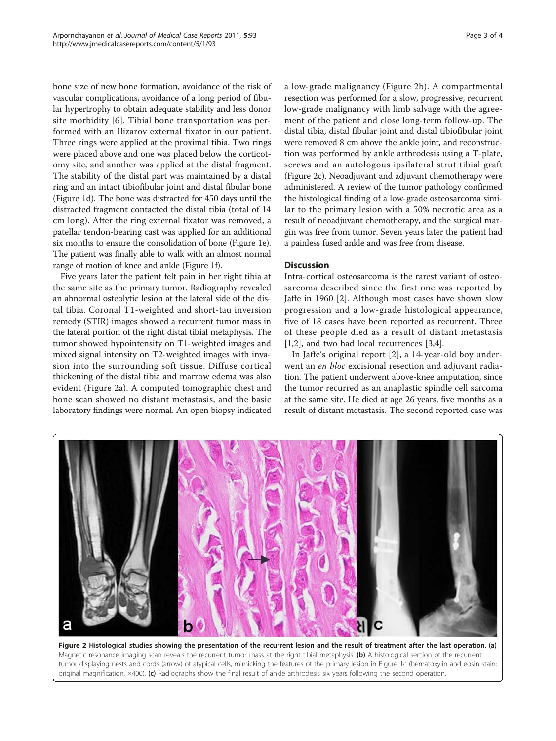bone size of new bone formation, avoidance of the risk of vascular complications, avoidance of a long period of fibular hypertrophy to obtain adequate stability and less donor site morbidity [[6](#page-3-0)]. Tibial bone transportation was performed with an Ilizarov external fixator in our patient. Three rings were applied at the proximal tibia. Two rings were placed above and one was placed below the corticotomy site, and another was applied at the distal fragment. The stability of the distal part was maintained by a distal ring and an intact tibiofibular joint and distal fibular bone (Figure [1d](#page-1-0)). The bone was distracted for 450 days until the distracted fragment contacted the distal tibia (total of 14 cm long). After the ring external fixator was removed, a patellar tendon-bearing cast was applied for an additional six months to ensure the consolidation of bone (Figure [1e](#page-1-0)). The patient was finally able to walk with an almost normal range of motion of knee and ankle (Figure [1f](#page-1-0)).

Five years later the patient felt pain in her right tibia at the same site as the primary tumor. Radiography revealed an abnormal osteolytic lesion at the lateral side of the distal tibia. Coronal T1-weighted and short-tau inversion remedy (STIR) images showed a recurrent tumor mass in the lateral portion of the right distal tibial metaphysis. The tumor showed hypointensity on T1-weighted images and mixed signal intensity on T2-weighted images with invasion into the surrounding soft tissue. Diffuse cortical thickening of the distal tibia and marrow edema was also evident (Figure 2a). A computed tomographic chest and bone scan showed no distant metastasis, and the basic laboratory findings were normal. An open biopsy indicated a low-grade malignancy (Figure 2b). A compartmental resection was performed for a slow, progressive, recurrent low-grade malignancy with limb salvage with the agreement of the patient and close long-term follow-up. The distal tibia, distal fibular joint and distal tibiofibular joint were removed 8 cm above the ankle joint, and reconstruction was performed by ankle arthrodesis using a T-plate, screws and an autologous ipsilateral strut tibial graft (Figure 2c). Neoadjuvant and adjuvant chemotherapy were administered. A review of the tumor pathology confirmed the histological finding of a low-grade osteosarcoma similar to the primary lesion with a 50% necrotic area as a result of neoadjuvant chemotherapy, and the surgical margin was free from tumor. Seven years later the patient had a painless fused ankle and was free from disease.

# **Discussion**

Intra-cortical osteosarcoma is the rarest variant of osteosarcoma described since the first one was reported by Jaffe in 1960 [[2\]](#page-3-0). Although most cases have shown slow progression and a low-grade histological appearance, five of 18 cases have been reported as recurrent. Three of these people died as a result of distant metastasis [[1,2\]](#page-3-0), and two had local recurrences [[3,4\]](#page-3-0).

In Jaffe's original report [[2\]](#page-3-0), a 14-year-old boy underwent an en bloc excisional resection and adjuvant radiation. The patient underwent above-knee amputation, since the tumor recurred as an anaplastic spindle cell sarcoma at the same site. He died at age 26 years, five months as a result of distant metastasis. The second reported case was